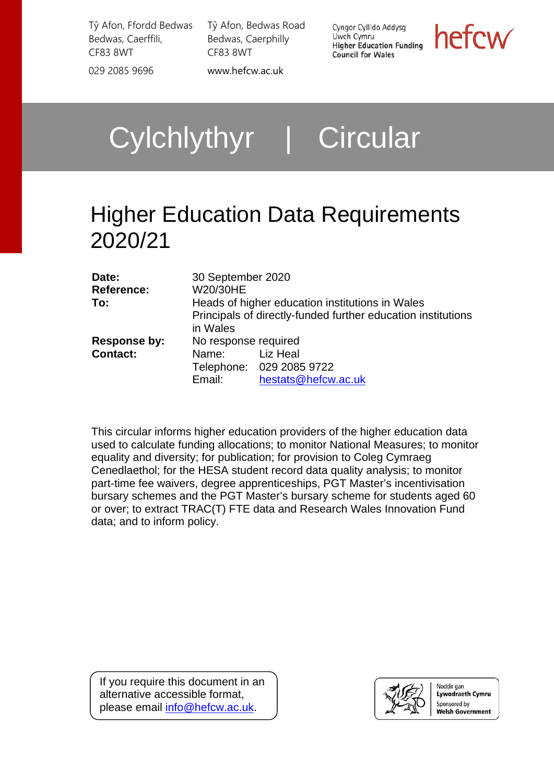Tŷ Afon, Ffordd Bedwas Bedwas, Caerffili, CF83 8WT 029 2085 9696 [www.hefcw.ac.uk](http://www.hefcw.ac.uk/)

Tŷ Afon, Bedwas Road Bedwas, Caerphilly CF83 8WT

Cyngor Cyllido Addysg Uwch Cymru **Higher Education Funding Council for Wales** 

hefcw

Cylchlythyr | Circular

# Higher Education Data Requirements 2020/21

| Date:             | 30 September 2020    |                                                              |
|-------------------|----------------------|--------------------------------------------------------------|
| <b>Reference:</b> | W20/30HE             |                                                              |
| To:               |                      | Heads of higher education institutions in Wales              |
|                   | in Wales             | Principals of directly-funded further education institutions |
| Response by:      | No response required |                                                              |
| <b>Contact:</b>   | Name:                | Liz Heal                                                     |
|                   |                      | Telephone: 029 2085 9722                                     |
|                   | Email:               | hestats@hefcw.ac.uk                                          |

This circular informs higher education providers of the higher education data used to calculate funding allocations; to monitor National Measures; to monitor equality and diversity; for publication; for provision to Coleg Cymraeg Cenedlaethol; for the HESA student record data quality analysis; to monitor part-time fee waivers, degree apprenticeships, PGT Master's incentivisation bursary schemes and the PGT Master's bursary scheme for students aged 60 or over; to extract TRAC(T) FTE data and Research Wales Innovation Fund data; and to inform policy.

If you require this document in an alternative accessible format, please email [info@hefcw.ac.uk.](mailto:info@hefcw.ac.uk)



Noddir gan Lywodraeth Cymru Sponsored by **Welsh Government**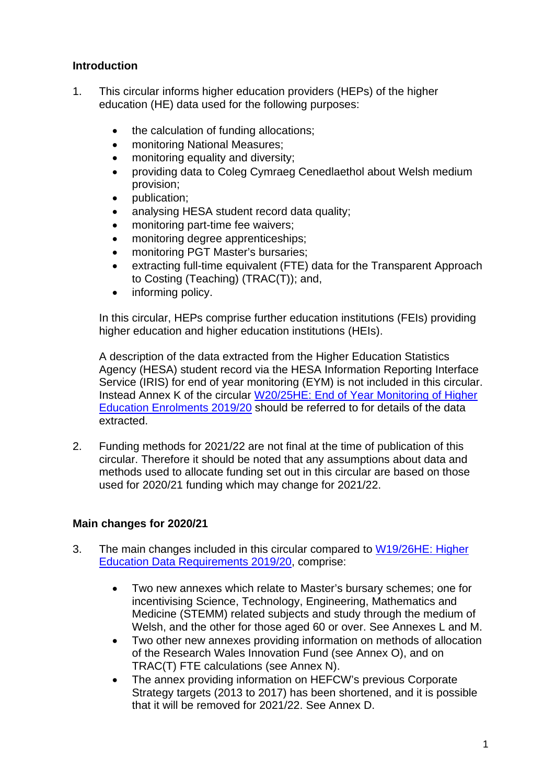# **Introduction**

- 1. This circular informs higher education providers (HEPs) of the higher education (HE) data used for the following purposes:
	- the calculation of funding allocations;
	- monitoring National Measures;
	- monitoring equality and diversity;
	- providing data to Coleg Cymraeg Cenedlaethol about Welsh medium provision;
	- publication;
	- analysing HESA student record data quality;
	- monitoring part-time fee waivers;
	- monitoring degree apprenticeships;
	- monitoring PGT Master's bursaries:
	- extracting full-time equivalent (FTE) data for the Transparent Approach to Costing (Teaching) (TRAC(T)); and,
	- informing policy.

In this circular, HEPs comprise further education institutions (FEIs) providing higher education and higher education institutions (HEIs).

A description of the data extracted from the Higher Education Statistics Agency (HESA) student record via the HESA Information Reporting Interface Service (IRIS) for end of year monitoring (EYM) is not included in this circular. Instead Annex K of the circular [W20/25HE: End of Year Monitoring of Higher](https://www.hefcw.ac.uk/en/publications/circulars/w20-25he-end-of-year-monitoring-of-higher-education-enrolments-2019-20/)  [Education Enrolments 2019/20](https://www.hefcw.ac.uk/en/publications/circulars/w20-25he-end-of-year-monitoring-of-higher-education-enrolments-2019-20/) should be referred to for details of the data extracted.

2. Funding methods for 2021/22 are not final at the time of publication of this circular. Therefore it should be noted that any assumptions about data and methods used to allocate funding set out in this circular are based on those used for 2020/21 funding which may change for 2021/22.

# **Main changes for 2020/21**

- 3. The main changes included in this circular compared to [W19/26HE: Higher](https://www.hefcw.ac.uk/en/publications/circulars/w19-26he-higher-education-data-requirements-2019-20/)  [Education Data Requirements 2019/20,](https://www.hefcw.ac.uk/en/publications/circulars/w19-26he-higher-education-data-requirements-2019-20/) comprise:
	- Two new annexes which relate to Master's bursary schemes; one for incentivising Science, Technology, Engineering, Mathematics and Medicine (STEMM) related subjects and study through the medium of Welsh, and the other for those aged 60 or over. See Annexes L and M.
	- Two other new annexes providing information on methods of allocation of the Research Wales Innovation Fund (see Annex O), and on TRAC(T) FTE calculations (see Annex N).
	- The annex providing information on HEFCW's previous Corporate Strategy targets (2013 to 2017) has been shortened, and it is possible that it will be removed for 2021/22. See Annex D.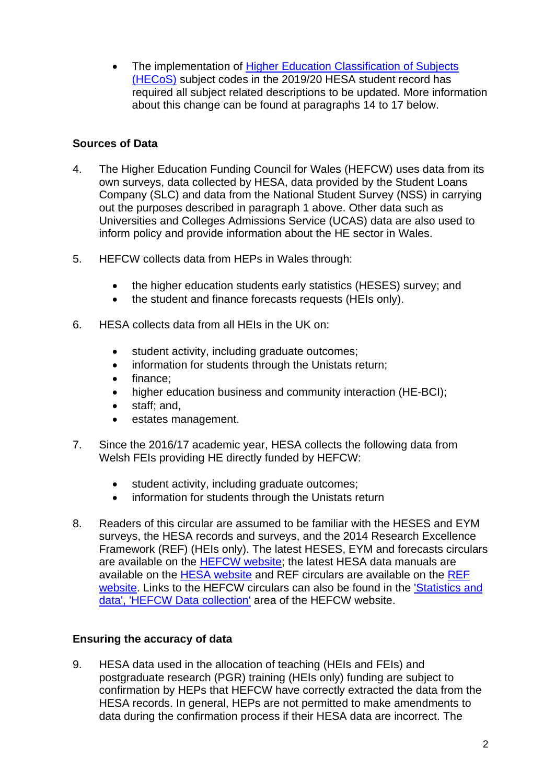• The implementation of Higher Education Classification of Subjects [\(HECoS\)](https://www.hesa.ac.uk/innovation/hecos) subject codes in the 2019/20 HESA student record has required all subject related descriptions to be updated. More information about this change can be found at paragraphs 14 to 17 below.

# **Sources of Data**

- 4. The Higher Education Funding Council for Wales (HEFCW) uses data from its own surveys, data collected by HESA, data provided by the Student Loans Company (SLC) and data from the National Student Survey (NSS) in carrying out the purposes described in paragraph 1 above. Other data such as Universities and Colleges Admissions Service (UCAS) data are also used to inform policy and provide information about the HE sector in Wales.
- 5. HEFCW collects data from HEPs in Wales through:
	- the higher education students early statistics (HESES) survey; and
	- the student and finance forecasts requests (HEIs only).
- 6. HESA collects data from all HEIs in the UK on:
	- student activity, including graduate outcomes;
	- information for students through the Unistats return;
	- finance:
	- higher education business and community interaction (HE-BCI);
	- staff; and,
	- estates management.
- 7. Since the 2016/17 academic year, HESA collects the following data from Welsh FEIs providing HE directly funded by HEFCW:
	- student activity, including graduate outcomes;
	- information for students through the Unistats return
- 8. Readers of this circular are assumed to be familiar with the HESES and EYM surveys, the HESA records and surveys, and the 2014 Research Excellence Framework (REF) (HEIs only). The latest HESES, EYM and forecasts circulars are available on the [HEFCW website;](http://www.hefcw.ac.uk/) the latest HESA data manuals are available on the [HESA website](http://www.hesa.ac.uk/) and REF circulars are available on the [REF](http://www.ref.ac.uk/)  [website.](http://www.ref.ac.uk/) Links to the HEFCW circulars can also be found in the ['Statistics and](https://www.hefcw.ac.uk/en/statistics-and-data/hefcw-data-collection/)  [data', 'HEFCW Data collection'](https://www.hefcw.ac.uk/en/statistics-and-data/hefcw-data-collection/) area of the HEFCW website.

# **Ensuring the accuracy of data**

9. HESA data used in the allocation of teaching (HEIs and FEIs) and postgraduate research (PGR) training (HEIs only) funding are subject to confirmation by HEPs that HEFCW have correctly extracted the data from the HESA records. In general, HEPs are not permitted to make amendments to data during the confirmation process if their HESA data are incorrect. The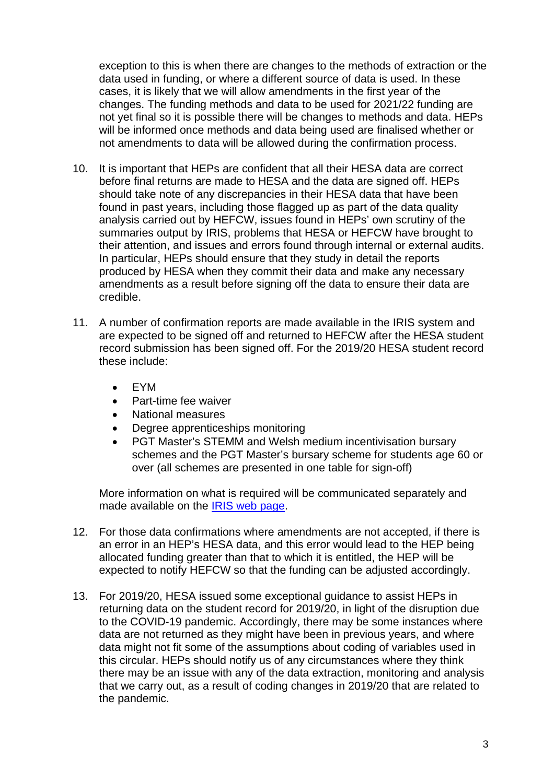exception to this is when there are changes to the methods of extraction or the data used in funding, or where a different source of data is used. In these cases, it is likely that we will allow amendments in the first year of the changes. The funding methods and data to be used for 2021/22 funding are not yet final so it is possible there will be changes to methods and data. HEPs will be informed once methods and data being used are finalised whether or not amendments to data will be allowed during the confirmation process.

- 10. It is important that HEPs are confident that all their HESA data are correct before final returns are made to HESA and the data are signed off. HEPs should take note of any discrepancies in their HESA data that have been found in past years, including those flagged up as part of the data quality analysis carried out by HEFCW, issues found in HEPs' own scrutiny of the summaries output by IRIS, problems that HESA or HEFCW have brought to their attention, and issues and errors found through internal or external audits. In particular, HEPs should ensure that they study in detail the reports produced by HESA when they commit their data and make any necessary amendments as a result before signing off the data to ensure their data are credible.
- 11. A number of confirmation reports are made available in the IRIS system and are expected to be signed off and returned to HEFCW after the HESA student record submission has been signed off. For the 2019/20 HESA student record these include:
	- EYM
	- Part-time fee waiver
	- National measures
	- Degree apprenticeships monitoring
	- PGT Master's STEMM and Welsh medium incentivisation bursary schemes and the PGT Master's bursary scheme for students age 60 or over (all schemes are presented in one table for sign-off)

More information on what is required will be communicated separately and made available on the [IRIS web page.](https://archive.hefcw.ac.uk/working_with_he_providers/data_collection/iris.aspx)

- 12. For those data confirmations where amendments are not accepted, if there is an error in an HEP's HESA data, and this error would lead to the HEP being allocated funding greater than that to which it is entitled, the HEP will be expected to notify HEFCW so that the funding can be adjusted accordingly.
- 13. For 2019/20, HESA issued some exceptional guidance to assist HEPs in returning data on the student record for 2019/20, in light of the disruption due to the COVID-19 pandemic. Accordingly, there may be some instances where data are not returned as they might have been in previous years, and where data might not fit some of the assumptions about coding of variables used in this circular. HEPs should notify us of any circumstances where they think there may be an issue with any of the data extraction, monitoring and analysis that we carry out, as a result of coding changes in 2019/20 that are related to the pandemic.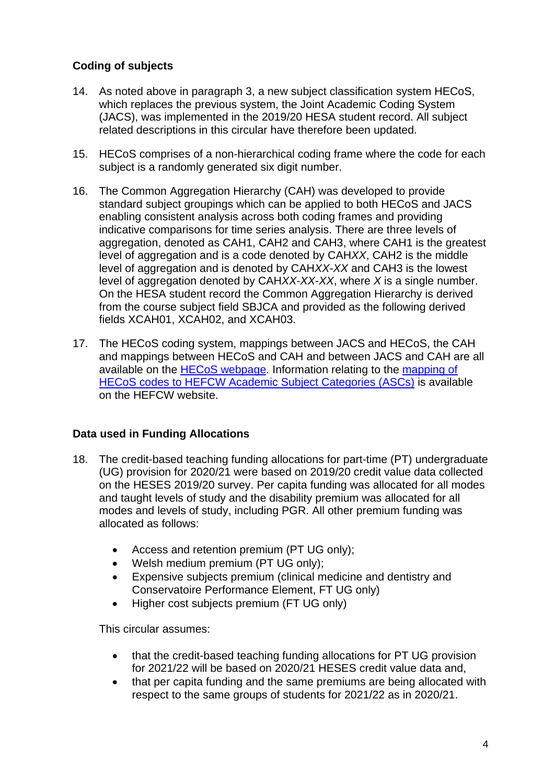# **Coding of subjects**

- 14. As noted above in paragraph 3, a new subject classification system HECoS, which replaces the previous system, the Joint Academic Coding System (JACS), was implemented in the 2019/20 HESA student record. All subject related descriptions in this circular have therefore been updated.
- 15. HECoS comprises of a non-hierarchical coding frame where the code for each subject is a randomly generated six digit number.
- 16. The Common Aggregation Hierarchy (CAH) was developed to provide standard subject groupings which can be applied to both HECoS and JACS enabling consistent analysis across both coding frames and providing indicative comparisons for time series analysis. There are three levels of aggregation, denoted as CAH1, CAH2 and CAH3, where CAH1 is the greatest level of aggregation and is a code denoted by CAH*XX*, CAH2 is the middle level of aggregation and is denoted by CAH*XX*-*XX* and CAH3 is the lowest level of aggregation denoted by CAH*XX*-*XX*-*XX*, where *X* is a single number. On the HESA student record the Common Aggregation Hierarchy is derived from the course subject field SBJCA and provided as the following derived fields XCAH01, XCAH02, and XCAH03.
- 17. The HECoS coding system, mappings between JACS and HECoS, the CAH and mappings between HECoS and CAH and between JACS and CAH are all available on the [HECoS webpage.](https://www.hesa.ac.uk/innovation/hecos) Information relating to the [mapping of](https://archive.hefcw.ac.uk/working_with_he_providers/data_collection/hesa_data_futures.aspx)  HECoS codes [to HEFCW Academic Subject Categories \(ASCs\)](https://archive.hefcw.ac.uk/working_with_he_providers/data_collection/hesa_data_futures.aspx) is available on the HEFCW website.

# **Data used in Funding Allocations**

- 18. The credit-based teaching funding allocations for part-time (PT) undergraduate (UG) provision for 2020/21 were based on 2019/20 credit value data collected on the HESES 2019/20 survey. Per capita funding was allocated for all modes and taught levels of study and the disability premium was allocated for all modes and levels of study, including PGR. All other premium funding was allocated as follows:
	- Access and retention premium (PT UG only);
	- Welsh medium premium (PT UG only);
	- Expensive subjects premium (clinical medicine and dentistry and Conservatoire Performance Element, FT UG only)
	- Higher cost subjects premium (FT UG only)

This circular assumes:

- that the credit-based teaching funding allocations for PT UG provision for 2021/22 will be based on 2020/21 HESES credit value data and,
- that per capita funding and the same premiums are being allocated with respect to the same groups of students for 2021/22 as in 2020/21.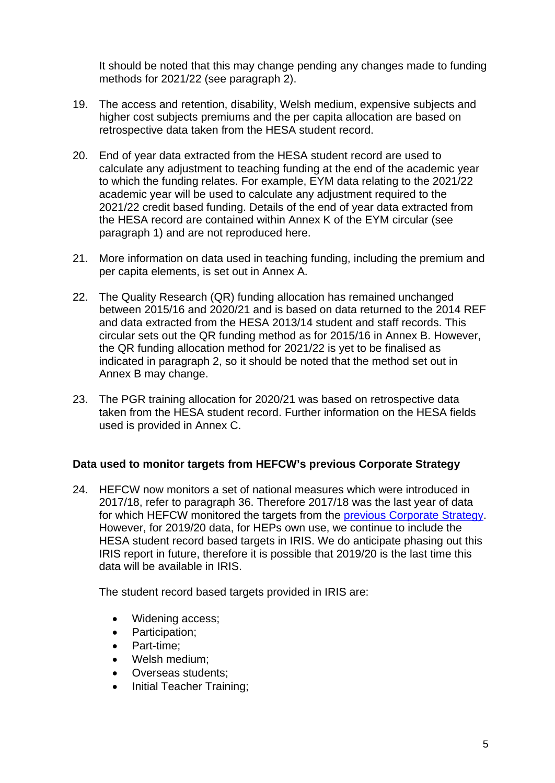It should be noted that this may change pending any changes made to funding methods for 2021/22 (see paragraph 2).

- 19. The access and retention, disability, Welsh medium, expensive subjects and higher cost subjects premiums and the per capita allocation are based on retrospective data taken from the HESA student record.
- 20. End of year data extracted from the HESA student record are used to calculate any adjustment to teaching funding at the end of the academic year to which the funding relates. For example, EYM data relating to the 2021/22 academic year will be used to calculate any adjustment required to the 2021/22 credit based funding. Details of the end of year data extracted from the HESA record are contained within Annex K of the EYM circular (see paragraph 1) and are not reproduced here.
- 21. More information on data used in teaching funding, including the premium and per capita elements, is set out in Annex A.
- 22. The Quality Research (QR) funding allocation has remained unchanged between 2015/16 and 2020/21 and is based on data returned to the 2014 REF and data extracted from the HESA 2013/14 student and staff records. This circular sets out the QR funding method as for 2015/16 in Annex B. However, the QR funding allocation method for 2021/22 is yet to be finalised as indicated in paragraph 2, so it should be noted that the method set out in Annex B may change.
- 23. The PGR training allocation for 2020/21 was based on retrospective data taken from the HESA student record. Further information on the HESA fields used is provided in Annex C.

#### **Data used to monitor targets from HEFCW's previous Corporate Strategy**

24. HEFCW now monitors a set of national measures which were introduced in 2017/18, refer to paragraph 36. Therefore 2017/18 was the last year of data for which HEFCW monitored the targets from the [previous Corporate Strategy.](https://archive.hefcw.ac.uk/documents/publications/corporate_documents/HEFCW%20Corporate%20Strategy%202013%2014%20to%202016%2017.pdf) However, for 2019/20 data, for HEPs own use, we continue to include the HESA student record based targets in IRIS. We do anticipate phasing out this IRIS report in future, therefore it is possible that 2019/20 is the last time this data will be available in IRIS.

The student record based targets provided in IRIS are:

- Widening access;
- Participation;
- Part-time;
- Welsh medium;
- Overseas students;
- Initial Teacher Training;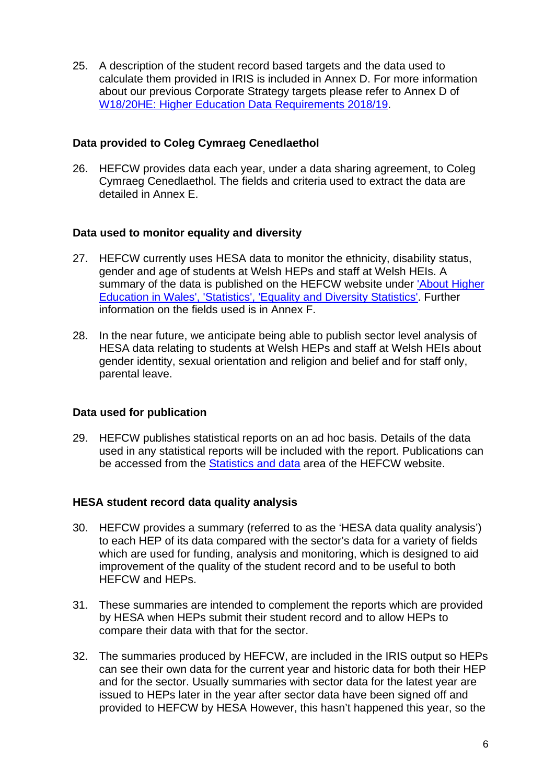25. A description of the student record based targets and the data used to calculate them provided in IRIS is included in Annex D. For more information about our previous Corporate Strategy targets please refer to Annex D of [W18/20HE: Higher Education Data Requirements 2018/19.](https://www.hefcw.ac.uk/en/publications/circulars/w18-20he-higher-education-data-requirements-2018-19/)

## **Data provided to Coleg Cymraeg Cenedlaethol**

26. HEFCW provides data each year, under a data sharing agreement, to Coleg Cymraeg Cenedlaethol. The fields and criteria used to extract the data are detailed in Annex E.

## **Data used to monitor equality and diversity**

- 27. HEFCW currently uses HESA data to monitor the ethnicity, disability status, gender and age of students at Welsh HEPs and staff at Welsh HEIs. A summary of the data is published on the HEFCW website under ['About Higher](https://archive.hefcw.ac.uk/about_he_in_wales/statistics/equality_diversity_statistics.aspx)  [Education in Wales', 'Statistics', 'Equality and Diversity Statistics'.](https://archive.hefcw.ac.uk/about_he_in_wales/statistics/equality_diversity_statistics.aspx) Further information on the fields used is in Annex F.
- 28. In the near future, we anticipate being able to publish sector level analysis of HESA data relating to students at Welsh HEPs and staff at Welsh HEIs about gender identity, sexual orientation and religion and belief and for staff only, parental leave.

#### **Data used for publication**

29. HEFCW publishes statistical reports on an ad hoc basis. Details of the data used in any statistical reports will be included with the report. Publications can be accessed from the [Statistics and data](https://www.hefcw.ac.uk/en/statistics-and-data/) area of the HEFCW website.

#### **HESA student record data quality analysis**

- 30. HEFCW provides a summary (referred to as the 'HESA data quality analysis') to each HEP of its data compared with the sector's data for a variety of fields which are used for funding, analysis and monitoring, which is designed to aid improvement of the quality of the student record and to be useful to both HEFCW and HEPs.
- 31. These summaries are intended to complement the reports which are provided by HESA when HEPs submit their student record and to allow HEPs to compare their data with that for the sector.
- 32. The summaries produced by HEFCW, are included in the IRIS output so HEPs can see their own data for the current year and historic data for both their HEP and for the sector. Usually summaries with sector data for the latest year are issued to HEPs later in the year after sector data have been signed off and provided to HEFCW by HESA However, this hasn't happened this year, so the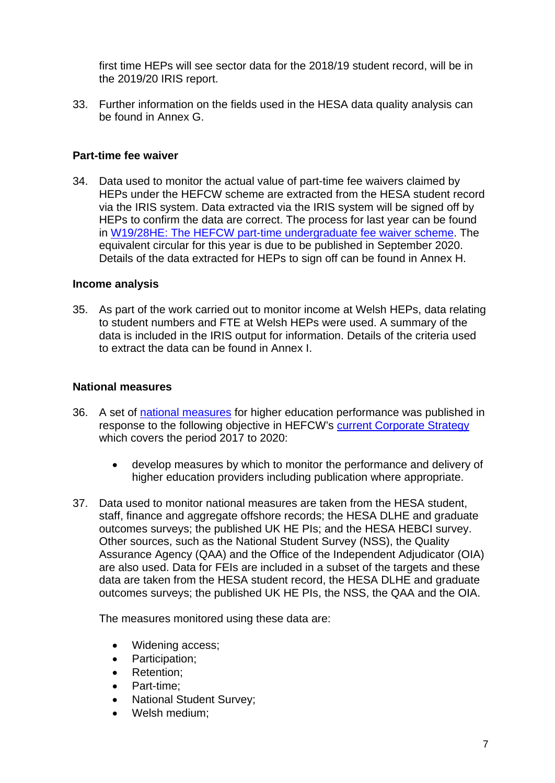first time HEPs will see sector data for the 2018/19 student record, will be in the 2019/20 IRIS report.

33. Further information on the fields used in the HESA data quality analysis can be found in Annex G.

### **Part-time fee waiver**

34. Data used to monitor the actual value of part-time fee waivers claimed by HEPs under the HEFCW scheme are extracted from the HESA student record via the IRIS system. Data extracted via the IRIS system will be signed off by HEPs to confirm the data are correct. The process for last year can be found in [W19/28HE: The HEFCW part-time undergraduate fee waiver scheme.](https://www.hefcw.ac.uk/en/publications/circulars/w19-28he-the-hefcw-part-time-undergraduate-fee-waiver-scheme/) The equivalent circular for this year is due to be published in September 2020. Details of the data extracted for HEPs to sign off can be found in Annex H.

#### **Income analysis**

35. As part of the work carried out to monitor income at Welsh HEPs, data relating to student numbers and FTE at Welsh HEPs were used. A summary of the data is included in the IRIS output for information. Details of the criteria used to extract the data can be found in Annex I.

#### **National measures**

- 36. A set of [national measures](https://www.hefcw.ac.uk/wp-content/uploads/2020/09/W18-30HE-Annex-B-English.pdf) for higher education performance was published in response to the following objective in HEFCW's [current Corporate Strategy](https://www.hefcw.ac.uk/en/document/corporate-strategy-2017-2020/) which covers the period 2017 to 2020:
	- develop measures by which to monitor the performance and delivery of higher education providers including publication where appropriate.
- 37. Data used to monitor national measures are taken from the HESA student, staff, finance and aggregate offshore records; the HESA DLHE and graduate outcomes surveys; the published UK HE PIs; and the HESA HEBCI survey. Other sources, such as the National Student Survey (NSS), the Quality Assurance Agency (QAA) and the Office of the Independent Adjudicator (OIA) are also used. Data for FEIs are included in a subset of the targets and these data are taken from the HESA student record, the HESA DLHE and graduate outcomes surveys; the published UK HE PIs, the NSS, the QAA and the OIA.

The measures monitored using these data are:

- Widening access;
- Participation;
- Retention;
- Part-time;
- National Student Survey;
- Welsh medium: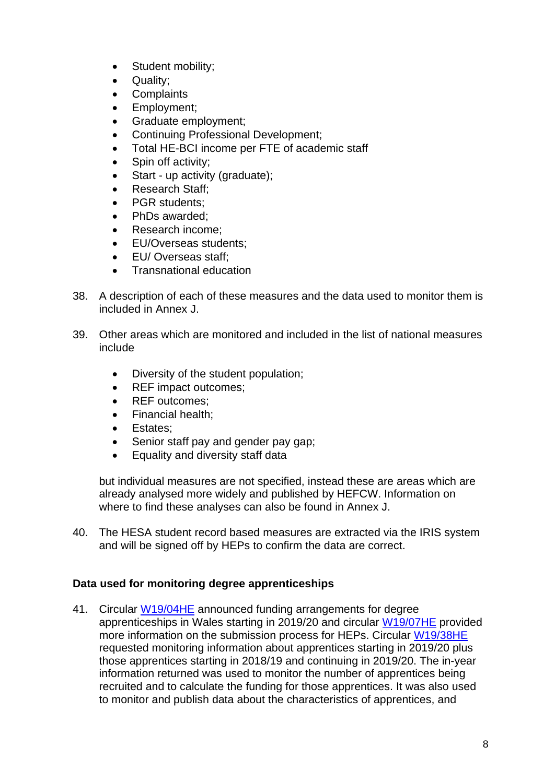- Student mobility;
- Quality;
- **Complaints**
- Employment;
- Graduate employment;
- Continuing Professional Development;
- Total HE-BCI income per FTE of academic staff
- Spin off activity;
- Start up activity (graduate);
- Research Staff:
- PGR students:
- PhDs awarded:
- Research income:
- EU/Overseas students:
- EU/ Overseas staff;
- Transnational education
- 38. A description of each of these measures and the data used to monitor them is included in Annex J.
- 39. Other areas which are monitored and included in the list of national measures include
	- Diversity of the student population;
	- REF impact outcomes;
	- REF outcomes:
	- Financial health;
	- Estates:
	- Senior staff pay and gender pay gap;
	- Equality and diversity staff data

but individual measures are not specified, instead these are areas which are already analysed more widely and published by HEFCW. Information on where to find these analyses can also be found in Annex J.

40. The HESA student record based measures are extracted via the IRIS system and will be signed off by HEPs to confirm the data are correct.

# **Data used for monitoring degree apprenticeships**

41. Circular [W19/04HE](https://www.hefcw.ac.uk/en/publications/circulars/w19-04he-degree-apprenticeships-in-wales-and-proposals-for-funding-2019-20/) announced funding arrangements for degree apprenticeships in Wales starting in 2019/20 and circular [W19/07HE](https://www.hefcw.ac.uk/en/publications/circulars/w19-07he-degree-apprenticeships-in-wales-and-proposals-for-funding-2019-20-updated-process-for-submissions/) provided more information on the submission process for HEPs. Circular [W19/38HE](https://www.hefcw.ac.uk/en/publications/circulars/w19-38he-degree-apprenticeships-2019-20-monitoring-report/) requested monitoring information about apprentices starting in 2019/20 plus those apprentices starting in 2018/19 and continuing in 2019/20. The in-year information returned was used to monitor the number of apprentices being recruited and to calculate the funding for those apprentices. It was also used to monitor and publish data about the characteristics of apprentices, and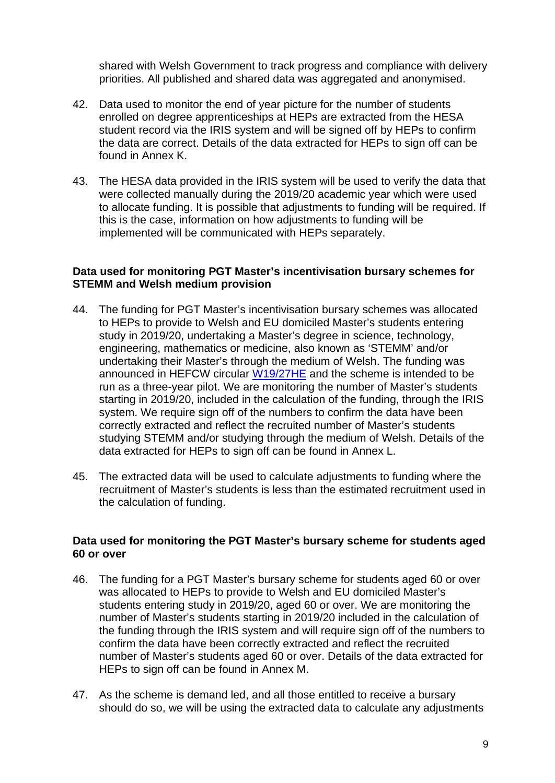shared with Welsh Government to track progress and compliance with delivery priorities. All published and shared data was aggregated and anonymised.

- 42. Data used to monitor the end of year picture for the number of students enrolled on degree apprenticeships at HEPs are extracted from the HESA student record via the IRIS system and will be signed off by HEPs to confirm the data are correct. Details of the data extracted for HEPs to sign off can be found in Annex K.
- 43. The HESA data provided in the IRIS system will be used to verify the data that were collected manually during the 2019/20 academic year which were used to allocate funding. It is possible that adjustments to funding will be required. If this is the case, information on how adjustments to funding will be implemented will be communicated with HEPs separately.

#### **Data used for monitoring PGT Master's incentivisation bursary schemes for STEMM and Welsh medium provision**

- 44. The funding for PGT Master's incentivisation bursary schemes was allocated to HEPs to provide to Welsh and EU domiciled Master's students entering study in 2019/20, undertaking a Master's degree in science, technology, engineering, mathematics or medicine, also known as 'STEMM' and/or undertaking their Master's through the medium of Welsh. The funding was announced in HEFCW circular [W19/27HE](https://www.hefcw.ac.uk/en/publications/circulars/w19-27he-postgraduate-taught-masters-incentivisation-bursary-scheme-2019-20/) and the scheme is intended to be run as a three-year pilot. We are monitoring the number of Master's students starting in 2019/20, included in the calculation of the funding, through the IRIS system. We require sign off of the numbers to confirm the data have been correctly extracted and reflect the recruited number of Master's students studying STEMM and/or studying through the medium of Welsh. Details of the data extracted for HEPs to sign off can be found in Annex L.
- 45. The extracted data will be used to calculate adjustments to funding where the recruitment of Master's students is less than the estimated recruitment used in the calculation of funding.

#### **Data used for monitoring the PGT Master's bursary scheme for students aged 60 or over**

- 46. The funding for a PGT Master's bursary scheme for students aged 60 or over was allocated to HEPs to provide to Welsh and EU domiciled Master's students entering study in 2019/20, aged 60 or over. We are monitoring the number of Master's students starting in 2019/20 included in the calculation of the funding through the IRIS system and will require sign off of the numbers to confirm the data have been correctly extracted and reflect the recruited number of Master's students aged 60 or over. Details of the data extracted for HEPs to sign off can be found in Annex M.
- 47. As the scheme is demand led, and all those entitled to receive a bursary should do so, we will be using the extracted data to calculate any adjustments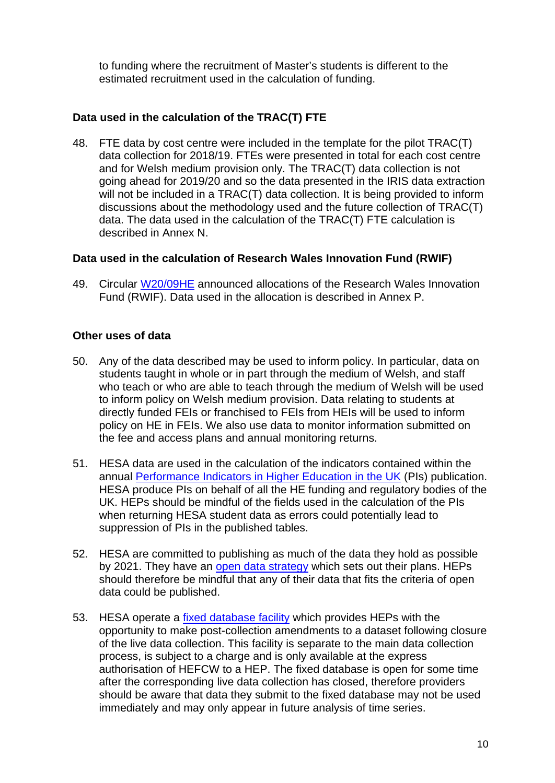to funding where the recruitment of Master's students is different to the estimated recruitment used in the calculation of funding.

# **Data used in the calculation of the TRAC(T) FTE**

48. FTE data by cost centre were included in the template for the pilot TRAC(T) data collection for 2018/19. FTEs were presented in total for each cost centre and for Welsh medium provision only. The TRAC(T) data collection is not going ahead for 2019/20 and so the data presented in the IRIS data extraction will not be included in a TRAC(T) data collection. It is being provided to inform discussions about the methodology used and the future collection of TRAC(T) data. The data used in the calculation of the TRAC(T) FTE calculation is described in Annex N.

## **Data used in the calculation of Research Wales Innovation Fund (RWIF)**

49. Circular [W20/09HE](https://www.hefcw.ac.uk/en/publications/circulars/w20-09he-innovation-and-engagement-funding-for-wales/) announced allocations of the Research Wales Innovation Fund (RWIF). Data used in the allocation is described in Annex P.

## **Other uses of data**

- 50. Any of the data described may be used to inform policy. In particular, data on students taught in whole or in part through the medium of Welsh, and staff who teach or who are able to teach through the medium of Welsh will be used to inform policy on Welsh medium provision. Data relating to students at directly funded FEIs or franchised to FEIs from HEIs will be used to inform policy on HE in FEIs. We also use data to monitor information submitted on the fee and access plans and annual monitoring returns.
- 51. HESA data are used in the calculation of the indicators contained within the annual [Performance Indicators in Higher Education in the UK](https://www.hesa.ac.uk/data-and-analysis/performance-indicators) (PIs) publication. HESA produce PIs on behalf of all the HE funding and regulatory bodies of the UK. HEPs should be mindful of the fields used in the calculation of the PIs when returning HESA student data as errors could potentially lead to suppression of PIs in the published tables.
- 52. HESA are committed to publishing as much of the data they hold as possible by 2021. They have an [open data strategy](https://www.hesa.ac.uk/files/Open_Data_Strategy_2017_2021.pdf) which sets out their plans. HEPs should therefore be mindful that any of their data that fits the criteria of open data could be published.
- 53. HESA operate a [fixed database facility](https://www.hesa.ac.uk/support/provider-info/subscription/fees-and-charges) which provides HEPs with the opportunity to make post-collection amendments to a dataset following closure of the live data collection. This facility is separate to the main data collection process, is subject to a charge and is only available at the express authorisation of HEFCW to a HEP. The fixed database is open for some time after the corresponding live data collection has closed, therefore providers should be aware that data they submit to the fixed database may not be used immediately and may only appear in future analysis of time series.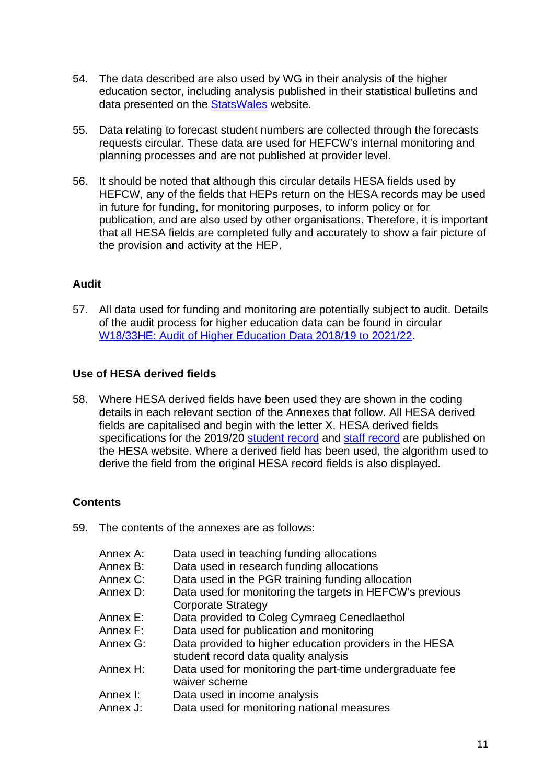- 54. The data described are also used by WG in their analysis of the higher education sector, including analysis published in their statistical bulletins and data presented on the [StatsWales](https://statswales.gov.wales/Catalogue) website.
- 55. Data relating to forecast student numbers are collected through the forecasts requests circular. These data are used for HEFCW's internal monitoring and planning processes and are not published at provider level.
- 56. It should be noted that although this circular details HESA fields used by HEFCW, any of the fields that HEPs return on the HESA records may be used in future for funding, for monitoring purposes, to inform policy or for publication, and are also used by other organisations. Therefore, it is important that all HESA fields are completed fully and accurately to show a fair picture of the provision and activity at the HEP.

# **Audit**

57. All data used for funding and monitoring are potentially subject to audit. Details of the audit process for higher education data can be found in circular [W18/33HE: Audit of Higher Education Data 2018/19 to 2021/22.](https://www.hefcw.ac.uk/en/publications/circulars/w18-33he-audit-of-higher-education-data-2018-19-to-2021-22/)

# **Use of HESA derived fields**

58. Where HESA derived fields have been used they are shown in the coding details in each relevant section of the Annexes that follow. All HESA derived fields are capitalised and begin with the letter X. HESA derived fields specifications for the 2019/20 [student record](https://www.hesa.ac.uk/collection/c19051/derived/contents) and [staff record](https://www.hesa.ac.uk/collection/c19025/derived/contents) are published on the HESA website. Where a derived field has been used, the algorithm used to derive the field from the original HESA record fields is also displayed.

# **Contents**

59. The contents of the annexes are as follows:

| Annex A: | Data used in teaching funding allocations                                                       |
|----------|-------------------------------------------------------------------------------------------------|
| Annex B: | Data used in research funding allocations                                                       |
| Annex C: | Data used in the PGR training funding allocation                                                |
| Annex D: | Data used for monitoring the targets in HEFCW's previous                                        |
|          | <b>Corporate Strategy</b>                                                                       |
| Annex E: | Data provided to Coleg Cymraeg Cenedlaethol                                                     |
| Annex F: | Data used for publication and monitoring                                                        |
| Annex G: | Data provided to higher education providers in the HESA<br>student record data quality analysis |
| Annex H: | Data used for monitoring the part-time undergraduate fee<br>waiver scheme                       |
| Annex I: | Data used in income analysis                                                                    |
| Annex J: | Data used for monitoring national measures                                                      |